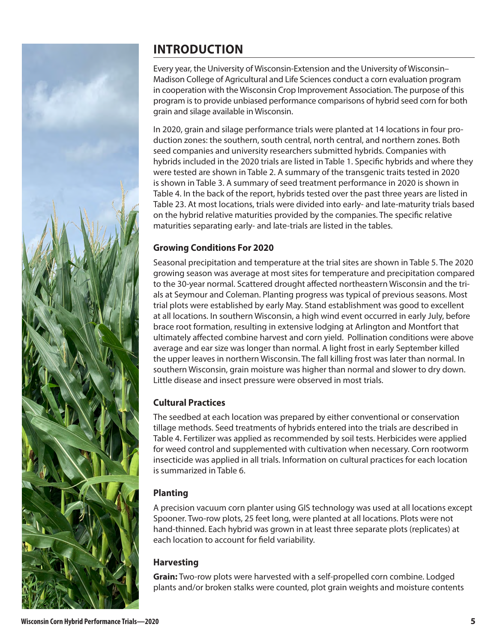

# **INTRODUCTION**

Every year, the University of Wisconsin-Extension and the University of Wisconsin– Madison College of Agricultural and Life Sciences conduct a corn evaluation program in cooperation with the Wisconsin Crop Improvement Association. The purpose of this program is to provide unbiased performance comparisons of hybrid seed corn for both grain and silage available in Wisconsin.

In 2020, grain and silage performance trials were planted at 14 locations in four production zones: the southern, south central, north central, and northern zones. Both seed companies and university researchers submitted hybrids. Companies with hybrids included in the 2020 trials are listed in Table 1. Specific hybrids and where they were tested are shown in Table 2. A summary of the transgenic traits tested in 2020 is shown in Table 3. A summary of seed treatment performance in 2020 is shown in Table 4. In the back of the report, hybrids tested over the past three years are listed in Table 23. At most locations, trials were divided into early- and late-maturity trials based on the hybrid relative maturities provided by the companies. The specific relative maturities separating early- and late-trials are listed in the tables.

## **Growing Conditions For 2020**

Seasonal precipitation and temperature at the trial sites are shown in Table 5. The 2020 growing season was average at most sites for temperature and precipitation compared to the 30-year normal. Scattered drought affected northeastern Wisconsin and the trials at Seymour and Coleman. Planting progress was typical of previous seasons. Most trial plots were established by early May. Stand establishment was good to excellent at all locations. In southern Wisconsin, a high wind event occurred in early July, before brace root formation, resulting in extensive lodging at Arlington and Montfort that ultimately affected combine harvest and corn yield. Pollination conditions were above average and ear size was longer than normal. A light frost in early September killed the upper leaves in northern Wisconsin. The fall killing frost was later than normal. In southern Wisconsin, grain moisture was higher than normal and slower to dry down. Little disease and insect pressure were observed in most trials.

## **Cultural Practices**

The seedbed at each location was prepared by either conventional or conservation tillage methods. Seed treatments of hybrids entered into the trials are described in Table 4. Fertilizer was applied as recommended by soil tests. Herbicides were applied for weed control and supplemented with cultivation when necessary. Corn rootworm insecticide was applied in all trials. Information on cultural practices for each location is summarized in Table 6.

## **Planting**

A precision vacuum corn planter using GIS technology was used at all locations except Spooner. Two-row plots, 25 feet long, were planted at all locations. Plots were not hand-thinned. Each hybrid was grown in at least three separate plots (replicates) at each location to account for field variability.

## **Harvesting**

**Grain:** Two-row plots were harvested with a self-propelled corn combine. Lodged plants and/or broken stalks were counted, plot grain weights and moisture contents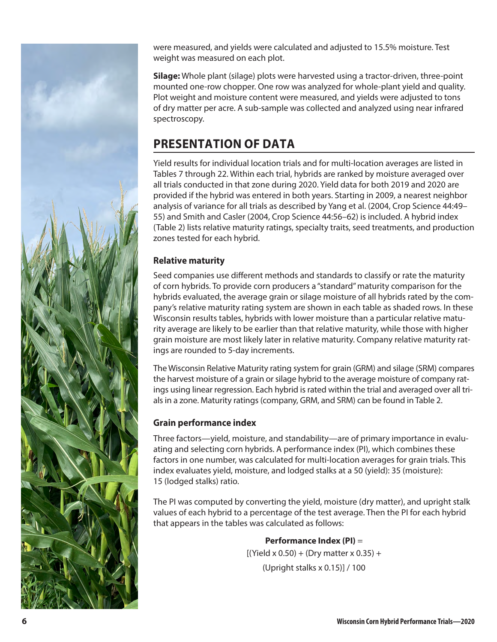

were measured, and yields were calculated and adjusted to 15.5% moisture. Test weight was measured on each plot.

**Silage:** Whole plant (silage) plots were harvested using a tractor-driven, three-point mounted one-row chopper. One row was analyzed for whole-plant yield and quality. Plot weight and moisture content were measured, and yields were adjusted to tons of dry matter per acre. A sub-sample was collected and analyzed using near infrared spectroscopy.

# **PRESENTATION OF DATA**

Yield results for individual location trials and for multi-location averages are listed in Tables 7 through 22. Within each trial, hybrids are ranked by moisture averaged over all trials conducted in that zone during 2020. Yield data for both 2019 and 2020 are provided if the hybrid was entered in both years. Starting in 2009, a nearest neighbor analysis of variance for all trials as described by Yang et al. (2004, Crop Science 44:49– 55) and Smith and Casler (2004, Crop Science 44:56–62) is included. A hybrid index (Table 2) lists relative maturity ratings, specialty traits, seed treatments, and production zones tested for each hybrid.

#### **Relative maturity**

Seed companies use different methods and standards to classify or rate the maturity of corn hybrids. To provide corn producers a "standard" maturity comparison for the hybrids evaluated, the average grain or silage moisture of all hybrids rated by the company's relative maturity rating system are shown in each table as shaded rows. In these Wisconsin results tables, hybrids with lower moisture than a particular relative maturity average are likely to be earlier than that relative maturity, while those with higher grain moisture are most likely later in relative maturity. Company relative maturity ratings are rounded to 5-day increments.

The Wisconsin Relative Maturity rating system for grain (GRM) and silage (SRM) compares the harvest moisture of a grain or silage hybrid to the average moisture of company ratings using linear regression. Each hybrid is rated within the trial and averaged over all trials in a zone. Maturity ratings (company, GRM, and SRM) can be found in Table 2.

#### **Grain performance index**

Three factors—yield, moisture, and standability—are of primary importance in evaluating and selecting corn hybrids. A performance index (PI), which combines these factors in one number, was calculated for multi-location averages for grain trials. This index evaluates yield, moisture, and lodged stalks at a 50 (yield): 35 (moisture): 15 (lodged stalks) ratio.

The PI was computed by converting the yield, moisture (dry matter), and upright stalk values of each hybrid to a percentage of the test average. Then the PI for each hybrid that appears in the tables was calculated as follows:

> **Performance Index (PI)** =  $[(Yield × 0.50) + (Dry matter × 0.35) +$ (Upright stalks x 0.15)] / 100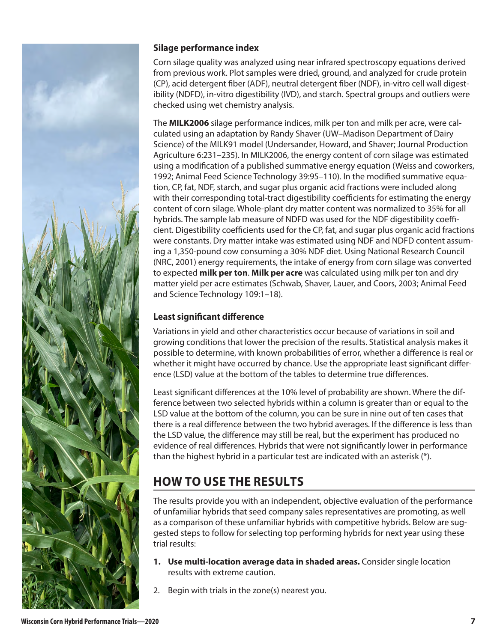

#### **Silage performance index**

Corn silage quality was analyzed using near infrared spectroscopy equations derived from previous work. Plot samples were dried, ground, and analyzed for crude protein (CP), acid detergent fiber (ADF), neutral detergent fiber (NDF), in-vitro cell wall digestibility (NDFD), in-vitro digestibility (IVD), and starch. Spectral groups and outliers were checked using wet chemistry analysis.

The **MILK2006** silage performance indices, milk per ton and milk per acre, were calculated using an adaptation by Randy Shaver (UW–Madison Department of Dairy Science) of the MILK91 model (Undersander, Howard, and Shaver; Journal Production Agriculture 6:231–235). In MILK2006, the energy content of corn silage was estimated using a modification of a published summative energy equation (Weiss and coworkers, 1992; Animal Feed Science Technology 39:95–110). In the modified summative equation, CP, fat, NDF, starch, and sugar plus organic acid fractions were included along with their corresponding total-tract digestibility coefficients for estimating the energy content of corn silage. Whole-plant dry matter content was normalized to 35% for all hybrids. The sample lab measure of NDFD was used for the NDF digestibility coefficient. Digestibility coefficients used for the CP, fat, and sugar plus organic acid fractions were constants. Dry matter intake was estimated using NDF and NDFD content assuming a 1,350-pound cow consuming a 30% NDF diet. Using National Research Council (NRC, 2001) energy requirements, the intake of energy from corn silage was converted to expected **milk per ton**. **Milk per acre** was calculated using milk per ton and dry matter yield per acre estimates (Schwab, Shaver, Lauer, and Coors, 2003; Animal Feed and Science Technology 109:1–18).

#### **Least significant difference**

Variations in yield and other characteristics occur because of variations in soil and growing conditions that lower the precision of the results. Statistical analysis makes it possible to determine, with known probabilities of error, whether a difference is real or whether it might have occurred by chance. Use the appropriate least significant difference (LSD) value at the bottom of the tables to determine true differences.

Least significant differences at the 10% level of probability are shown. Where the difference between two selected hybrids within a column is greater than or equal to the LSD value at the bottom of the column, you can be sure in nine out of ten cases that there is a real difference between the two hybrid averages. If the difference is less than the LSD value, the difference may still be real, but the experiment has produced no evidence of real differences. Hybrids that were not significantly lower in performance than the highest hybrid in a particular test are indicated with an asterisk (\*).

# **HOW TO USE THE RESULTS**

The results provide you with an independent, objective evaluation of the performance of unfamiliar hybrids that seed company sales representatives are promoting, as well as a comparison of these unfamiliar hybrids with competitive hybrids. Below are suggested steps to follow for selecting top performing hybrids for next year using these trial results:

- **1. Use multi-location average data in shaded areas.** Consider single location results with extreme caution.
- 2. Begin with trials in the zone(s) nearest you.